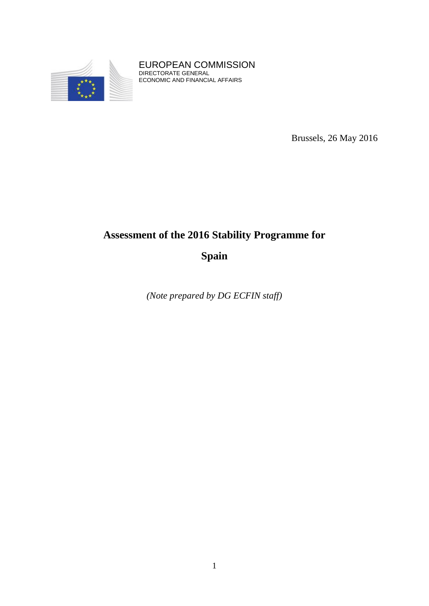

EUROPEAN COMMISSION DIRECTORATE GENERAL ECONOMIC AND FINANCIAL AFFAIRS

Brussels, 26 May 2016

# **Assessment of the 2016 Stability Programme for**

**Spain**

*(Note prepared by DG ECFIN staff)*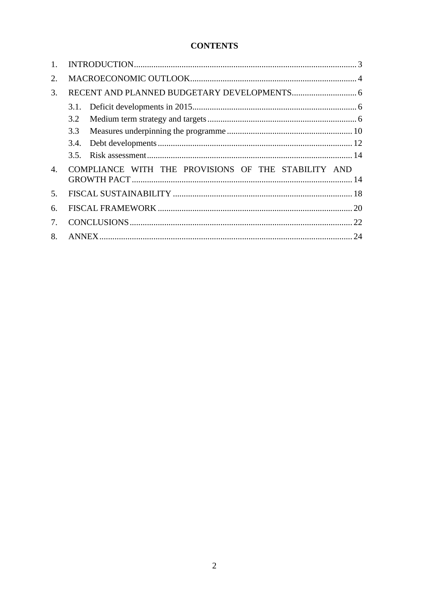# **CONTENTS**

| $\mathbf{1}$ . |                                                     |  |
|----------------|-----------------------------------------------------|--|
| 2.             |                                                     |  |
| 3.             |                                                     |  |
|                | 3.1.                                                |  |
|                | 3.2                                                 |  |
|                | 3.3                                                 |  |
|                | 3.4.                                                |  |
|                |                                                     |  |
| $\mathbf{4}$ . | COMPLIANCE WITH THE PROVISIONS OF THE STABILITY AND |  |
|                |                                                     |  |
| 5.             |                                                     |  |
| 6.             |                                                     |  |
| 7.             |                                                     |  |
| 8.             |                                                     |  |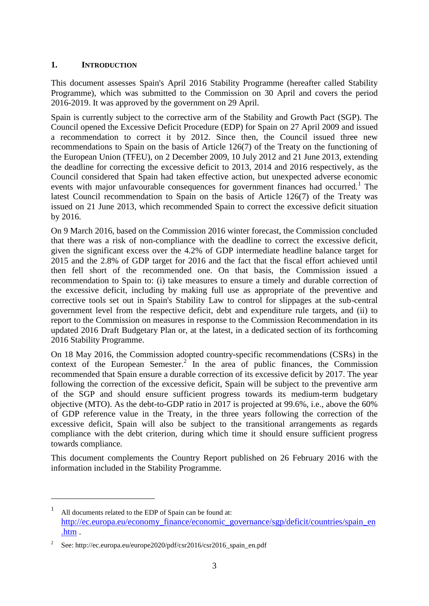#### <span id="page-2-0"></span>**1. INTRODUCTION**

This document assesses Spain's April 2016 Stability Programme (hereafter called Stability Programme), which was submitted to the Commission on 30 April and covers the period 2016-2019. It was approved by the government on 29 April.

Spain is currently subject to the corrective arm of the Stability and Growth Pact (SGP). The Council opened the Excessive Deficit Procedure (EDP) for Spain on 27 April 2009 and issued a recommendation to correct it by 2012. Since then, the Council issued three new recommendations to Spain on the basis of Article 126(7) of the Treaty on the functioning of the European Union (TFEU), on 2 December 2009, 10 July 2012 and 21 June 2013, extending the deadline for correcting the excessive deficit to 2013, 2014 and 2016 respectively, as the Council considered that Spain had taken effective action, but unexpected adverse economic events with major unfavourable consequences for government finances had occurred.<sup>1</sup> The latest Council recommendation to Spain on the basis of Article 126(7) of the Treaty was issued on 21 June 2013, which recommended Spain to correct the excessive deficit situation by 2016.

On 9 March 2016, based on the Commission 2016 winter forecast, the Commission concluded that there was a risk of non-compliance with the deadline to correct the excessive deficit, given the significant excess over the 4.2% of GDP intermediate headline balance target for 2015 and the 2.8% of GDP target for 2016 and the fact that the fiscal effort achieved until then fell short of the recommended one. On that basis, the Commission issued a recommendation to Spain to: (i) take measures to ensure a timely and durable correction of the excessive deficit, including by making full use as appropriate of the preventive and corrective tools set out in Spain's Stability Law to control for slippages at the sub-central government level from the respective deficit, debt and expenditure rule targets, and (ii) to report to the Commission on measures in response to the Commission Recommendation in its updated 2016 Draft Budgetary Plan or, at the latest, in a dedicated section of its forthcoming 2016 Stability Programme.

On 18 May 2016, the Commission adopted country-specific recommendations (CSRs) in the context of the European Semester.<sup>2</sup> In the area of public finances, the Commission recommended that Spain ensure a durable correction of its excessive deficit by 2017. The year following the correction of the excessive deficit, Spain will be subject to the preventive arm of the SGP and should ensure sufficient progress towards its medium-term budgetary objective (MTO). As the debt-to-GDP ratio in 2017 is projected at 99.6%, i.e., above the 60% of GDP reference value in the Treaty, in the three years following the correction of the excessive deficit, Spain will also be subject to the transitional arrangements as regards compliance with the debt criterion, during which time it should ensure sufficient progress towards compliance*.*

This document complements the Country Report published on 26 February 2016 with the information included in the Stability Programme.

1

<sup>1</sup> All documents related to the EDP of Spain can be found at: [http://ec.europa.eu/economy\\_finance/economic\\_governance/sgp/deficit/countries/spain\\_en](http://ec.europa.eu/economy_finance/economic_governance/sgp/deficit/countries/spain_en.htm) [.htm](http://ec.europa.eu/economy_finance/economic_governance/sgp/deficit/countries/spain_en.htm) .

<sup>2</sup> See: http://ec.europa.eu/europe2020/pdf/csr2016/csr2016\_spain\_en.pdf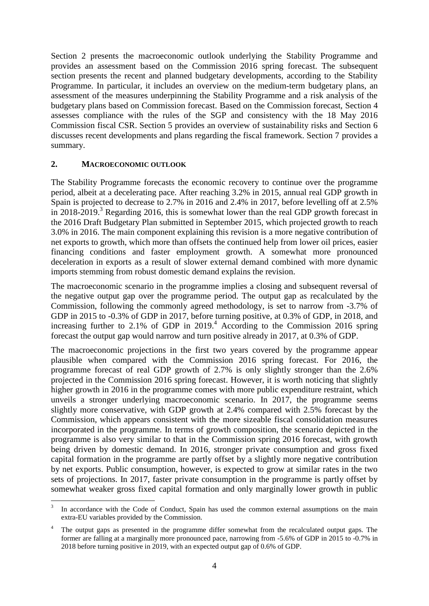Section 2 presents the macroeconomic outlook underlying the Stability Programme and provides an assessment based on the Commission 2016 spring forecast. The subsequent section presents the recent and planned budgetary developments, according to the Stability Programme. In particular, it includes an overview on the medium-term budgetary plans, an assessment of the measures underpinning the Stability Programme and a risk analysis of the budgetary plans based on Commission forecast. Based on the Commission forecast, Section 4 assesses compliance with the rules of the SGP and consistency with the 18 May 2016 Commission fiscal CSR. Section 5 provides an overview of sustainability risks and Section 6 discusses recent developments and plans regarding the fiscal framework. Section 7 provides a summary.

#### <span id="page-3-0"></span>**2. MACROECONOMIC OUTLOOK**

The Stability Programme forecasts the economic recovery to continue over the programme period, albeit at a decelerating pace. After reaching 3.2% in 2015, annual real GDP growth in Spain is projected to decrease to 2.7% in 2016 and 2.4% in 2017, before levelling off at 2.5% in 2018-2019.<sup>3</sup> Regarding 2016, this is somewhat lower than the real GDP growth forecast in the 2016 Draft Budgetary Plan submitted in September 2015, which projected growth to reach 3.0% in 2016. The main component explaining this revision is a more negative contribution of net exports to growth, which more than offsets the continued help from lower oil prices, easier financing conditions and faster employment growth. A somewhat more pronounced deceleration in exports as a result of slower external demand combined with more dynamic imports stemming from robust domestic demand explains the revision.

The macroeconomic scenario in the programme implies a closing and subsequent reversal of the negative output gap over the programme period. The output gap as recalculated by the Commission, following the commonly agreed methodology, is set to narrow from -3.7% of GDP in 2015 to -0.3% of GDP in 2017, before turning positive, at 0.3% of GDP, in 2018, and increasing further to 2.1% of GDP in 2019. <sup>4</sup> According to the Commission 2016 spring forecast the output gap would narrow and turn positive already in 2017, at 0.3% of GDP.

The macroeconomic projections in the first two years covered by the programme appear plausible when compared with the Commission 2016 spring forecast. For 2016, the programme forecast of real GDP growth of 2.7% is only slightly stronger than the 2.6% projected in the Commission 2016 spring forecast. However, it is worth noticing that slightly higher growth in 2016 in the programme comes with more public expenditure restraint, which unveils a stronger underlying macroeconomic scenario. In 2017, the programme seems slightly more conservative, with GDP growth at 2.4% compared with 2.5% forecast by the Commission, which appears consistent with the more sizeable fiscal consolidation measures incorporated in the programme. In terms of growth composition, the scenario depicted in the programme is also very similar to that in the Commission spring 2016 forecast, with growth being driven by domestic demand. In 2016, stronger private consumption and gross fixed capital formation in the programme are partly offset by a slightly more negative contribution by net exports. Public consumption, however, is expected to grow at similar rates in the two sets of projections. In 2017, faster private consumption in the programme is partly offset by somewhat weaker gross fixed capital formation and only marginally lower growth in public

<sup>1</sup> 3 In accordance with the Code of Conduct, Spain has used the common external assumptions on the main extra-EU variables provided by the Commission.

The output gaps as presented in the programme differ somewhat from the recalculated output gaps. The former are falling at a marginally more pronounced pace, narrowing from -5.6% of GDP in 2015 to -0.7% in 2018 before turning positive in 2019, with an expected output gap of 0.6% of GDP.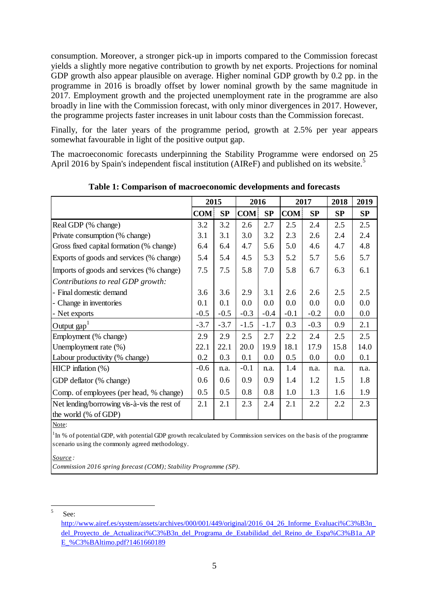consumption. Moreover, a stronger pick-up in imports compared to the Commission forecast yields a slightly more negative contribution to growth by net exports. Projections for nominal GDP growth also appear plausible on average. Higher nominal GDP growth by 0.2 pp. in the programme in 2016 is broadly offset by lower nominal growth by the same magnitude in 2017. Employment growth and the projected unemployment rate in the programme are also broadly in line with the Commission forecast, with only minor divergences in 2017. However, the programme projects faster increases in unit labour costs than the Commission forecast.

Finally, for the later years of the programme period, growth at 2.5% per year appears somewhat favourable in light of the positive output gap.

The macroeconomic forecasts underpinning the Stability Programme were endorsed on 25 April 2016 by Spain's independent fiscal institution (AIReF) and published on its website.<sup>5</sup>

|                                                                     | 2015             |        | 2016       |        |            | 2017   |      | 2019 |
|---------------------------------------------------------------------|------------------|--------|------------|--------|------------|--------|------|------|
|                                                                     | COM <sub>1</sub> | SP     | <b>COM</b> | SP     | <b>COM</b> | SP     | SP   | SP   |
| Real GDP (% change)                                                 | 3.2              | 3.2    | 2.6        | 2.7    | 2.5        | 2.4    | 2.5  | 2.5  |
| Private consumption (% change)                                      | 3.1              | 3.1    | 3.0        | 3.2    | 2.3        | 2.6    | 2.4  | 2.4  |
| Gross fixed capital formation (% change)                            | 6.4              | 6.4    | 4.7        | 5.6    | 5.0        | 4.6    | 4.7  | 4.8  |
| Exports of goods and services (% change)                            | 5.4              | 5.4    | 4.5        | 5.3    | 5.2        | 5.7    | 5.6  | 5.7  |
| Imports of goods and services (% change)                            | 7.5              | 7.5    | 5.8        | 7.0    | 5.8        | 6.7    | 6.3  | 6.1  |
| Contributions to real GDP growth:                                   |                  |        |            |        |            |        |      |      |
| - Final domestic demand                                             | 3.6              | 3.6    | 2.9        | 3.1    | 2.6        | 2.6    | 2.5  | 2.5  |
| - Change in inventories                                             | 0.1              | 0.1    | 0.0        | 0.0    | 0.0        | 0.0    | 0.0  | 0.0  |
| - Net exports                                                       | $-0.5$           | $-0.5$ | $-0.3$     | $-0.4$ | $-0.1$     | $-0.2$ | 0.0  | 0.0  |
| Output $\text{gap}^1$                                               | $-3.7$           | $-3.7$ | $-1.5$     | $-1.7$ | 0.3        | $-0.3$ | 0.9  | 2.1  |
| Employment (% change)                                               | 2.9              | 2.9    | 2.5        | 2.7    | 2.2        | 2.4    | 2.5  | 2.5  |
| Unemployment rate (%)                                               | 22.1             | 22.1   | 20.0       | 19.9   | 18.1       | 17.9   | 15.8 | 14.0 |
| Labour productivity (% change)                                      | 0.2              | 0.3    | 0.1        | 0.0    | 0.5        | 0.0    | 0.0  | 0.1  |
| HICP inflation $(\%)$                                               | $-0.6$           | n.a.   | $-0.1$     | n.a.   | 1.4        | n.a.   | n.a. | n.a. |
| GDP deflator (% change)                                             |                  | 0.6    | 0.9        | 0.9    | 1.4        | 1.2    | 1.5  | 1.8  |
| Comp. of employees (per head, % change)                             |                  | 0.5    | 0.8        | 0.8    | 1.0        | 1.3    | 1.6  | 1.9  |
| Net lending/borrowing vis-à-vis the rest of<br>the world (% of GDP) | 2.1              | 2.1    | 2.3        | 2.4    | 2.1        | 2.2    | 2.2  | 2.3  |

**Table 1: Comparison of macroeconomic developments and forecasts**

Note:

 $1 \text{ m}$ % of potential GDP, with potential GDP growth recalculated by Commission services on the basis of the programme scenario using the commonly agreed methodology.

*Source :*

*Commission 2016 spring forecast (COM); Stability Programme (SP).*

 $\frac{1}{5}$ See:

[http://www.airef.es/system/assets/archives/000/001/449/original/2016\\_04\\_26\\_Informe\\_Evaluaci%C3%B3n\\_](http://www.airef.es/system/assets/archives/000/001/449/original/2016_04_26_Informe_Evaluaci%C3%B3n_del_Proyecto_de_Actualizaci%C3%B3n_del_Programa_de_Estabilidad_del_Reino_de_Espa%C3%B1a_APE_%C3%BAltimo.pdf?1461660189) del Proyecto de Actualizaci%C3%B3n del Programa de Estabilidad del Reino de Espa%C3%B1a AP [E\\_%C3%BAltimo.pdf?1461660189](http://www.airef.es/system/assets/archives/000/001/449/original/2016_04_26_Informe_Evaluaci%C3%B3n_del_Proyecto_de_Actualizaci%C3%B3n_del_Programa_de_Estabilidad_del_Reino_de_Espa%C3%B1a_APE_%C3%BAltimo.pdf?1461660189)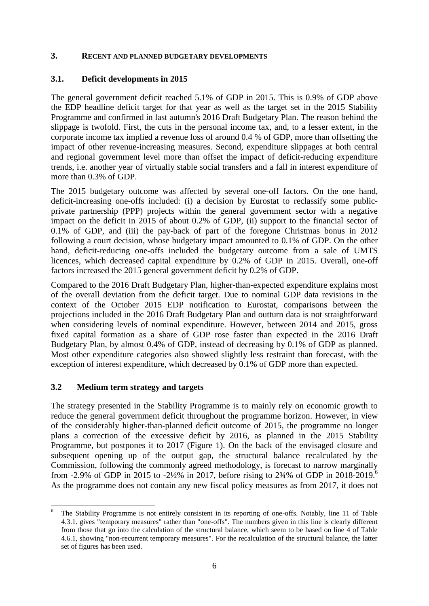#### <span id="page-5-0"></span>**3. RECENT AND PLANNED BUDGETARY DEVELOPMENTS**

#### <span id="page-5-1"></span>**3.1. Deficit developments in 2015**

The general government deficit reached 5.1% of GDP in 2015. This is 0.9% of GDP above the EDP headline deficit target for that year as well as the target set in the 2015 Stability Programme and confirmed in last autumn's 2016 Draft Budgetary Plan. The reason behind the slippage is twofold. First, the cuts in the personal income tax, and, to a lesser extent, in the corporate income tax implied a revenue loss of around 0.4 % of GDP, more than offsetting the impact of other revenue-increasing measures. Second, expenditure slippages at both central and regional government level more than offset the impact of deficit-reducing expenditure trends, i.e. another year of virtually stable social transfers and a fall in interest expenditure of more than 0.3% of GDP.

The 2015 budgetary outcome was affected by several one-off factors. On the one hand, deficit-increasing one-offs included: (i) a decision by Eurostat to reclassify some publicprivate partnership (PPP) projects within the general government sector with a negative impact on the deficit in 2015 of about 0.2% of GDP, (ii) support to the financial sector of 0.1% of GDP, and (iii) the pay-back of part of the foregone Christmas bonus in 2012 following a court decision, whose budgetary impact amounted to 0.1% of GDP. On the other hand, deficit-reducing one-offs included the budgetary outcome from a sale of UMTS licences, which decreased capital expenditure by 0.2% of GDP in 2015. Overall, one-off factors increased the 2015 general government deficit by 0.2% of GDP.

Compared to the 2016 Draft Budgetary Plan, higher-than-expected expenditure explains most of the overall deviation from the deficit target. Due to nominal GDP data revisions in the context of the October 2015 EDP notification to Eurostat, comparisons between the projections included in the 2016 Draft Budgetary Plan and outturn data is not straightforward when considering levels of nominal expenditure. However, between 2014 and 2015, gross fixed capital formation as a share of GDP rose faster than expected in the 2016 Draft Budgetary Plan, by almost 0.4% of GDP, instead of decreasing by 0.1% of GDP as planned. Most other expenditure categories also showed slightly less restraint than forecast, with the exception of interest expenditure, which decreased by 0.1% of GDP more than expected.

#### <span id="page-5-2"></span>**3.2 Medium term strategy and targets**

<u>.</u>

The strategy presented in the Stability Programme is to mainly rely on economic growth to reduce the general government deficit throughout the programme horizon. However, in view of the considerably higher-than-planned deficit outcome of 2015, the programme no longer plans a correction of the excessive deficit by 2016, as planned in the 2015 Stability Programme, but postpones it to 2017 (Figure 1). On the back of the envisaged closure and subsequent opening up of the output gap, the structural balance recalculated by the Commission, following the commonly agreed methodology, is forecast to narrow marginally from -2.9% of GDP in 2015 to -2½% in 2017, before rising to 2 $\frac{3}{4}$ % of GDP in 2018-2019.<sup>6</sup> As the programme does not contain any new fiscal policy measures as from 2017, it does not

<sup>6</sup> The Stability Programme is not entirely consistent in its reporting of one-offs. Notably, line 11 of Table 4.3.1. gives "temporary measures" rather than "one-offs". The numbers given in this line is clearly different from those that go into the calculation of the structural balance, which seem to be based on line 4 of Table 4.6.1, showing "non-recurrent temporary measures". For the recalculation of the structural balance, the latter set of figures has been used.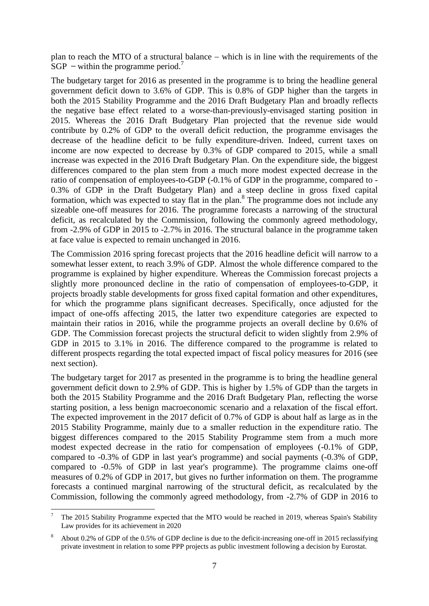plan to reach the MTO of a structural balance  $-$  which is in line with the requirements of the  $SGP$  – within the programme period.<sup>7</sup>

The budgetary target for 2016 as presented in the programme is to bring the headline general government deficit down to 3.6% of GDP. This is 0.8% of GDP higher than the targets in both the 2015 Stability Programme and the 2016 Draft Budgetary Plan and broadly reflects the negative base effect related to a worse-than-previously-envisaged starting position in 2015. Whereas the 2016 Draft Budgetary Plan projected that the revenue side would contribute by 0.2% of GDP to the overall deficit reduction, the programme envisages the decrease of the headline deficit to be fully expenditure-driven. Indeed, current taxes on income are now expected to decrease by 0.3% of GDP compared to 2015, while a small increase was expected in the 2016 Draft Budgetary Plan. On the expenditure side, the biggest differences compared to the plan stem from a much more modest expected decrease in the ratio of compensation of employees-to-GDP (-0.1% of GDP in the programme, compared to - 0.3% of GDP in the Draft Budgetary Plan) and a steep decline in gross fixed capital formation, which was expected to stay flat in the plan.<sup>8</sup> The programme does not include any sizeable one-off measures for 2016. The programme forecasts a narrowing of the structural deficit, as recalculated by the Commission, following the commonly agreed methodology, from -2.9% of GDP in 2015 to -2.7% in 2016. The structural balance in the programme taken at face value is expected to remain unchanged in 2016.

The Commission 2016 spring forecast projects that the 2016 headline deficit will narrow to a somewhat lesser extent, to reach 3.9% of GDP. Almost the whole difference compared to the programme is explained by higher expenditure. Whereas the Commission forecast projects a slightly more pronounced decline in the ratio of compensation of employees-to-GDP, it projects broadly stable developments for gross fixed capital formation and other expenditures, for which the programme plans significant decreases. Specifically, once adjusted for the impact of one-offs affecting 2015, the latter two expenditure categories are expected to maintain their ratios in 2016, while the programme projects an overall decline by 0.6% of GDP. The Commission forecast projects the structural deficit to widen slightly from 2.9% of GDP in 2015 to 3.1% in 2016. The difference compared to the programme is related to different prospects regarding the total expected impact of fiscal policy measures for 2016 (see next section).

The budgetary target for 2017 as presented in the programme is to bring the headline general government deficit down to 2.9% of GDP. This is higher by 1.5% of GDP than the targets in both the 2015 Stability Programme and the 2016 Draft Budgetary Plan, reflecting the worse starting position, a less benign macroeconomic scenario and a relaxation of the fiscal effort. The expected improvement in the 2017 deficit of 0.7% of GDP is about half as large as in the 2015 Stability Programme, mainly due to a smaller reduction in the expenditure ratio. The biggest differences compared to the 2015 Stability Programme stem from a much more modest expected decrease in the ratio for compensation of employees (-0.1% of GDP, compared to -0.3% of GDP in last year's programme) and social payments (-0.3% of GDP, compared to -0.5% of GDP in last year's programme). The programme claims one-off measures of 0.2% of GDP in 2017, but gives no further information on them. The programme forecasts a continued marginal narrowing of the structural deficit, as recalculated by the Commission, following the commonly agreed methodology, from -2.7% of GDP in 2016 to

<sup>1</sup> <sup>7</sup> The 2015 Stability Programme expected that the MTO would be reached in 2019, whereas Spain's Stability Law provides for its achievement in 2020

<sup>8</sup> About 0.2% of GDP of the 0.5% of GDP decline is due to the deficit-increasing one-off in 2015 reclassifying private investment in relation to some PPP projects as public investment following a decision by Eurostat.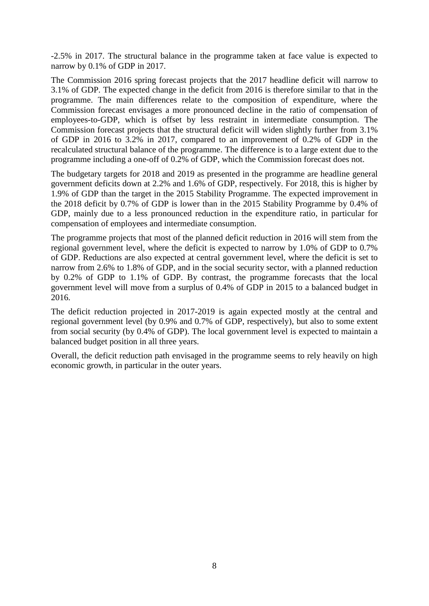-2.5% in 2017. The structural balance in the programme taken at face value is expected to narrow by 0.1% of GDP in 2017.

The Commission 2016 spring forecast projects that the 2017 headline deficit will narrow to 3.1% of GDP. The expected change in the deficit from 2016 is therefore similar to that in the programme. The main differences relate to the composition of expenditure, where the Commission forecast envisages a more pronounced decline in the ratio of compensation of employees-to-GDP, which is offset by less restraint in intermediate consumption. The Commission forecast projects that the structural deficit will widen slightly further from 3.1% of GDP in 2016 to 3.2% in 2017, compared to an improvement of 0.2% of GDP in the recalculated structural balance of the programme. The difference is to a large extent due to the programme including a one-off of 0.2% of GDP, which the Commission forecast does not.

The budgetary targets for 2018 and 2019 as presented in the programme are headline general government deficits down at 2.2% and 1.6% of GDP, respectively. For 2018, this is higher by 1.9% of GDP than the target in the 2015 Stability Programme. The expected improvement in the 2018 deficit by 0.7% of GDP is lower than in the 2015 Stability Programme by 0.4% of GDP, mainly due to a less pronounced reduction in the expenditure ratio, in particular for compensation of employees and intermediate consumption.

The programme projects that most of the planned deficit reduction in 2016 will stem from the regional government level, where the deficit is expected to narrow by 1.0% of GDP to 0.7% of GDP. Reductions are also expected at central government level, where the deficit is set to narrow from 2.6% to 1.8% of GDP, and in the social security sector, with a planned reduction by 0.2% of GDP to 1.1% of GDP. By contrast, the programme forecasts that the local government level will move from a surplus of 0.4% of GDP in 2015 to a balanced budget in 2016.

The deficit reduction projected in 2017-2019 is again expected mostly at the central and regional government level (by 0.9% and 0.7% of GDP, respectively), but also to some extent from social security (by 0.4% of GDP). The local government level is expected to maintain a balanced budget position in all three years.

Overall, the deficit reduction path envisaged in the programme seems to rely heavily on high economic growth, in particular in the outer years.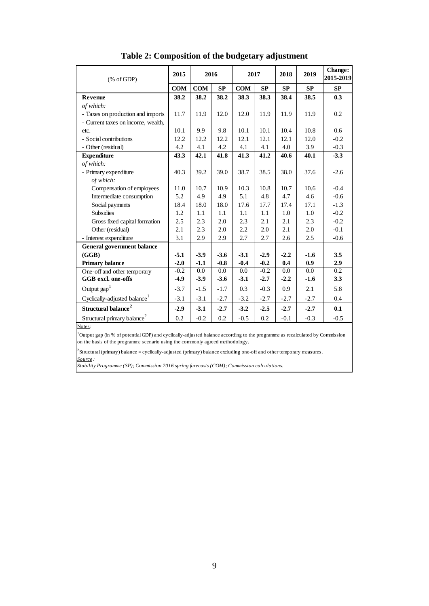| $(% \mathcal{L}_{0}$ (% of GDP)          | 2015       | 2016   |        | 2017   |        | 2018   | 2019   | <b>Change:</b><br>2015-2019 |
|------------------------------------------|------------|--------|--------|--------|--------|--------|--------|-----------------------------|
|                                          | <b>COM</b> | COM    | SP     | COM    | SP     | SP     | SP     | <b>SP</b>                   |
| Revenue                                  | 38.2       | 38.2   | 38.2   | 38.3   | 38.3   | 38.4   | 38.5   | 0.3                         |
| of which:                                |            |        |        |        |        |        |        |                             |
| - Taxes on production and imports        | 11.7       | 11.9   | 12.0   | 12.0   | 11.9   | 11.9   | 11.9   | 0.2                         |
| - Current taxes on income, wealth,       |            |        |        |        |        |        |        |                             |
| etc.                                     | 10.1       | 9.9    | 9.8    | 10.1   | 10.1   | 10.4   | 10.8   | 0.6                         |
| - Social contributions                   | 12.2       | 12.2   | 12.2   | 12.1   | 12.1   | 12.1   | 12.0   | $-0.2$                      |
| - Other (residual)                       | 4.2        | 4.1    | 4.2    | 4.1    | 4.1    | 4.0    | 3.9    | $-0.3$                      |
| <b>Expenditure</b>                       | 43.3       | 42.1   | 41.8   | 41.3   | 41.2   | 40.6   | 40.1   | $-3.3$                      |
| of which:                                |            |        |        |        |        |        |        |                             |
| - Primary expenditure                    | 40.3       | 39.2   | 39.0   | 38.7   | 38.5   | 38.0   | 37.6   | $-2.6$                      |
| of which:                                |            |        |        |        |        |        |        |                             |
| Compensation of employees                | 11.0       | 10.7   | 10.9   | 10.3   | 10.8   | 10.7   | 10.6   | $-0.4$                      |
| Intermediate consumption                 | 5.2        | 4.9    | 4.9    | 5.1    | 4.8    | 4.7    | 4.6    | $-0.6$                      |
| Social payments                          | 18.4       | 18.0   | 18.0   | 17.6   | 17.7   | 17.4   | 17.1   | $-1.3$                      |
| <b>Subsidies</b>                         | 1.2        | 1.1    | 1.1    | 1.1    | 1.1    | 1.0    | 1.0    | $-0.2$                      |
| Gross fixed capital formation            | 2.5        | 2.3    | 2.0    | 2.3    | 2.1    | 2.1    | 2.3    | $-0.2$                      |
| Other (residual)                         | 2.1        | 2.3    | 2.0    | 2.2    | 2.0    | 2.1    | 2.0    | $-0.1$                      |
| - Interest expenditure                   | 3.1        | 2.9    | 2.9    | 2.7    | 2.7    | 2.6    | 2.5    | $-0.6$                      |
| General government balance               |            |        |        |        |        |        |        |                             |
| (GGB)                                    | $-5.1$     | $-3.9$ | $-3.6$ | $-3.1$ | $-2.9$ | $-2.2$ | $-1.6$ | 3.5                         |
| Primary balance                          | $-2.0$     | $-1.1$ | $-0.8$ | $-0.4$ | $-0.2$ | 0.4    | 0.9    | 2.9                         |
| One-off and other temporary              | $-0.2$     | 0.0    | 0.0    | 0.0    | $-0.2$ | 0.0    | 0.0    | 0.2                         |
| GGB excl. one-offs                       | $-4.9$     | $-3.9$ | $-3.6$ | $-3.1$ | $-2.7$ | $-2.2$ | $-1.6$ | 3.3                         |
| Output $\text{gap}^1$                    | $-3.7$     | $-1.5$ | $-1.7$ | 0.3    | $-0.3$ | 0.9    | 2.1    | 5.8                         |
| Cyclically-adjusted balance <sup>1</sup> | $-3.1$     | $-3.1$ | $-2.7$ | $-3.2$ | $-2.7$ | $-2.7$ | $-2.7$ | 0.4                         |
| Structural balance <sup>2</sup>          | $-2.9$     | $-3.1$ | $-2.7$ | $-3.2$ | $-2.5$ | $-2.7$ | $-2.7$ | 0.1                         |
| Structural primary balance <sup>2</sup>  | 0.2        | $-0.2$ | 0.2    | $-0.5$ | 0.2    | $-0.1$ | $-0.3$ | $-0.5$                      |
| Notes.                                   |            |        |        |        |        |        |        |                             |

| Table 2: Composition of the budgetary adjustment |  |
|--------------------------------------------------|--|
|--------------------------------------------------|--|

<sup>1</sup>Output gap (in % of potential GDP) and cyclically-adjusted balance according to the programme as recalculated by Commission on the basis of the programme scenario using the commonly agreed methodology.

 $2$ Structural (primary) balance = cyclically-adjusted (primary) balance excluding one-off and other temporary measures. *Source :*

*Stability Programme (SP); Commission 2016 spring forecasts (COM); Commission calculations.*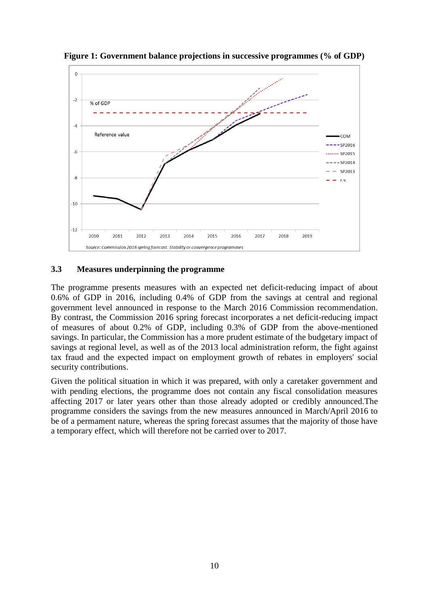

**Figure 1: Government balance projections in successive programmes (% of GDP)**

#### <span id="page-9-0"></span>**3.3 Measures underpinning the programme**

The programme presents measures with an expected net deficit-reducing impact of about 0.6% of GDP in 2016, including 0.4% of GDP from the savings at central and regional government level announced in response to the March 2016 Commission recommendation. By contrast, the Commission 2016 spring forecast incorporates a net deficit-reducing impact of measures of about 0.2% of GDP, including 0.3% of GDP from the above-mentioned savings. In particular, the Commission has a more prudent estimate of the budgetary impact of savings at regional level, as well as of the 2013 local administration reform, the fight against tax fraud and the expected impact on employment growth of rebates in employers' social security contributions.

Given the political situation in which it was prepared, with only a caretaker government and with pending elections, the programme does not contain any fiscal consolidation measures affecting 2017 or later years other than those already adopted or credibly announced.The programme considers the savings from the new measures announced in March/April 2016 to be of a permament nature, whereas the spring forecast assumes that the majority of those have a temporary effect, which will therefore not be carried over to 2017.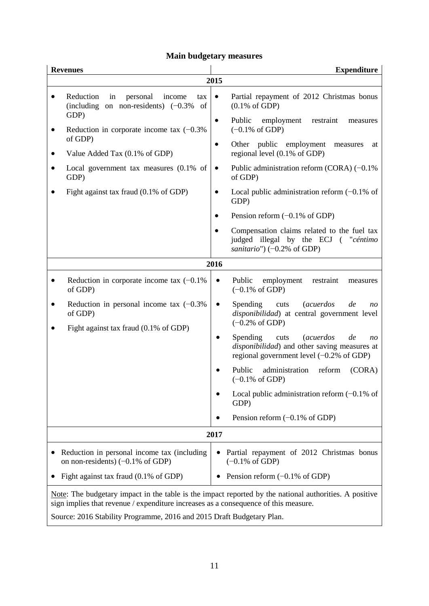# **Main budgetary measures**

|      | <b>Revenues</b>                                                                                                                                                                               |           | <b>Expenditure</b>                                                                                                                                                         |  |  |  |  |  |
|------|-----------------------------------------------------------------------------------------------------------------------------------------------------------------------------------------------|-----------|----------------------------------------------------------------------------------------------------------------------------------------------------------------------------|--|--|--|--|--|
|      |                                                                                                                                                                                               | 2015      |                                                                                                                                                                            |  |  |  |  |  |
|      | Reduction<br>personal<br>in<br>income<br>tax<br>(including on non-residents) $(-0.3\%)$<br>of<br>GDP)                                                                                         | $\bullet$ | Partial repayment of 2012 Christmas bonus<br>$(0.1\% \text{ of GDP})$                                                                                                      |  |  |  |  |  |
|      | Reduction in corporate income tax $(-0.3\%)$<br>of GDP)                                                                                                                                       | ٠         | Public<br>employment<br>restraint<br>measures<br>$(-0.1\% \text{ of GDP})$                                                                                                 |  |  |  |  |  |
|      | Value Added Tax (0.1% of GDP)                                                                                                                                                                 | $\bullet$ | Other public employment<br>measures<br>at<br>regional level (0.1% of GDP)                                                                                                  |  |  |  |  |  |
|      | Local government tax measures $(0.1\%$ of<br>GDP)                                                                                                                                             | $\bullet$ | Public administration reform (CORA) $(-0.1\%$<br>of GDP)                                                                                                                   |  |  |  |  |  |
|      | Fight against tax fraud (0.1% of GDP)                                                                                                                                                         |           | Local public administration reform $(-0.1\%$ of<br>GDP)                                                                                                                    |  |  |  |  |  |
|      |                                                                                                                                                                                               |           | Pension reform $(-0.1\% \text{ of GDP})$                                                                                                                                   |  |  |  |  |  |
|      |                                                                                                                                                                                               |           | Compensation claims related to the fuel tax<br>judged illegal by the ECJ ("céntimo<br>sanitario") $(-0.2\% \text{ of GDP})$                                                |  |  |  |  |  |
| 2016 |                                                                                                                                                                                               |           |                                                                                                                                                                            |  |  |  |  |  |
|      | Reduction in corporate income tax $(-0.1\%)$<br>of GDP)                                                                                                                                       | $\bullet$ | Public<br>employment<br>restraint<br>measures<br>$(-0.1\% \text{ of GDP})$                                                                                                 |  |  |  |  |  |
|      | Reduction in personal income tax $(-0.3\%)$<br>of GDP)<br>Fight against tax fraud (0.1% of GDP)                                                                                               | $\bullet$ | <b>Spending</b><br><i>(acuerdos</i><br>de<br>cuts<br>n <sub>O</sub><br>disponibilidad) at central government level<br>$(-0.2\% \text{ of GDP})$                            |  |  |  |  |  |
|      |                                                                                                                                                                                               | $\bullet$ | <b>Spending</b><br><i>(acuerdos</i><br>cuts<br>de<br>n <sub>O</sub><br>disponibilidad) and other saving measures at<br>regional government level $(-0.2\% \text{ of GDP})$ |  |  |  |  |  |
|      |                                                                                                                                                                                               |           | Public<br>administration<br>reform<br>(CORA)<br>$(-0.1\% \text{ of GDP})$                                                                                                  |  |  |  |  |  |
|      |                                                                                                                                                                                               |           | Local public administration reform $(-0.1\%$ of<br>GDP)                                                                                                                    |  |  |  |  |  |
|      |                                                                                                                                                                                               |           | Pension reform $(-0.1\% \text{ of GDP})$                                                                                                                                   |  |  |  |  |  |
|      |                                                                                                                                                                                               | 2017      |                                                                                                                                                                            |  |  |  |  |  |
|      | Reduction in personal income tax (including<br>on non-residents) $(-0.1\% \text{ of GDP})$                                                                                                    |           | Partial repayment of 2012 Christmas bonus<br>$(-0.1\% \text{ of GDP})$                                                                                                     |  |  |  |  |  |
|      | Fight against tax fraud (0.1% of GDP)                                                                                                                                                         |           | Pension reform $(-0.1\% \text{ of GDP})$                                                                                                                                   |  |  |  |  |  |
|      | Note: The budgetary impact in the table is the impact reported by the national authorities. A positive<br>sign implies that revenue / expenditure increases as a consequence of this measure. |           |                                                                                                                                                                            |  |  |  |  |  |

Source: 2016 Stability Programme, 2016 and 2015 Draft Budgetary Plan.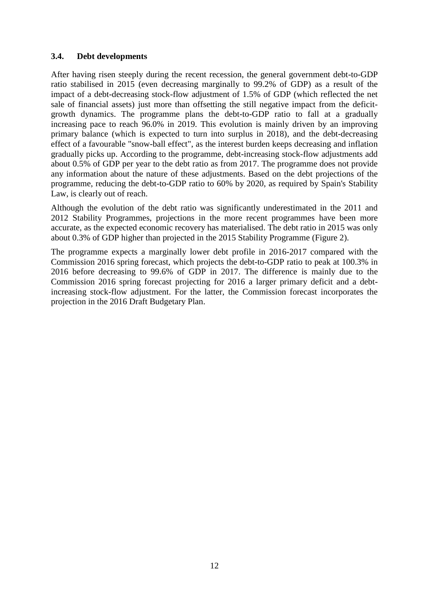#### <span id="page-11-0"></span>**3.4. Debt developments**

After having risen steeply during the recent recession, the general government debt-to-GDP ratio stabilised in 2015 (even decreasing marginally to 99.2% of GDP) as a result of the impact of a debt-decreasing stock-flow adjustment of 1.5% of GDP (which reflected the net sale of financial assets) just more than offsetting the still negative impact from the deficitgrowth dynamics. The programme plans the debt-to-GDP ratio to fall at a gradually increasing pace to reach 96.0% in 2019. This evolution is mainly driven by an improving primary balance (which is expected to turn into surplus in 2018), and the debt-decreasing effect of a favourable "snow-ball effect", as the interest burden keeps decreasing and inflation gradually picks up. According to the programme, debt-increasing stock-flow adjustments add about 0.5% of GDP per year to the debt ratio as from 2017. The programme does not provide any information about the nature of these adjustments. Based on the debt projections of the programme, reducing the debt-to-GDP ratio to 60% by 2020, as required by Spain's Stability Law, is clearly out of reach.

Although the evolution of the debt ratio was significantly underestimated in the 2011 and 2012 Stability Programmes, projections in the more recent programmes have been more accurate, as the expected economic recovery has materialised. The debt ratio in 2015 was only about 0.3% of GDP higher than projected in the 2015 Stability Programme (Figure 2).

The programme expects a marginally lower debt profile in 2016-2017 compared with the Commission 2016 spring forecast, which projects the debt-to-GDP ratio to peak at 100.3% in 2016 before decreasing to 99.6% of GDP in 2017. The difference is mainly due to the Commission 2016 spring forecast projecting for 2016 a larger primary deficit and a debtincreasing stock-flow adjustment. For the latter, the Commission forecast incorporates the projection in the 2016 Draft Budgetary Plan.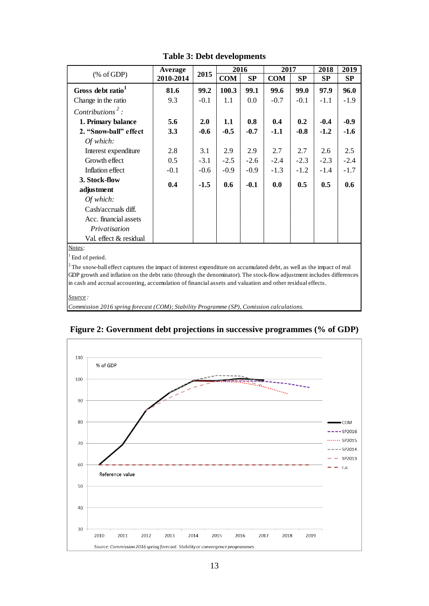|                                                                                                                                                                                                                                                                                                                                                         | Average   |        | 2016       |         | 2017       |        | 2018   | 2019   |
|---------------------------------------------------------------------------------------------------------------------------------------------------------------------------------------------------------------------------------------------------------------------------------------------------------------------------------------------------------|-----------|--------|------------|---------|------------|--------|--------|--------|
| $(% \mathcal{L}_{0} \cap \mathcal{L}_{1})$ (% of GDP)                                                                                                                                                                                                                                                                                                   | 2010-2014 | 2015   | <b>COM</b> | SP      | <b>COM</b> | SP     | SP     | SP     |
| Gross debt ratio <sup>1</sup>                                                                                                                                                                                                                                                                                                                           | 81.6      | 99.2   | 100.3      | 99.1    | 99.6       | 99.0   | 97.9   | 96.0   |
| Change in the ratio                                                                                                                                                                                                                                                                                                                                     | 9.3       | $-0.1$ | 1.1        | $0.0\,$ | $-0.7$     | $-0.1$ | $-1.1$ | $-1.9$ |
| Contributions <sup>2</sup> :                                                                                                                                                                                                                                                                                                                            |           |        |            |         |            |        |        |        |
| 1. Primary balance                                                                                                                                                                                                                                                                                                                                      | 5.6       | 2.0    | 1.1        | 0.8     | 0.4        | 0.2    | $-0.4$ | $-0.9$ |
| 2. "Snow-ball" effect                                                                                                                                                                                                                                                                                                                                   | 3.3       | $-0.6$ | $-0.5$     | $-0.7$  | $-1.1$     | $-0.8$ | $-1.2$ | $-1.6$ |
| Of which:                                                                                                                                                                                                                                                                                                                                               |           |        |            |         |            |        |        |        |
| Interest expenditure                                                                                                                                                                                                                                                                                                                                    | 2.8       | 3.1    | 2.9        | 2.9     | 2.7        | 2.7    | 2.6    | 2.5    |
| Growth effect                                                                                                                                                                                                                                                                                                                                           | 0.5       | $-3.1$ | $-2.5$     | $-2.6$  | $-2.4$     | $-2.3$ | $-2.3$ | $-2.4$ |
| Inflation effect                                                                                                                                                                                                                                                                                                                                        | $-0.1$    | $-0.6$ | $-0.9$     | $-0.9$  | $-1.3$     | $-1.2$ | $-1.4$ | $-1.7$ |
| 3. Stock-flow                                                                                                                                                                                                                                                                                                                                           | 0.4       | $-1.5$ | 0.6        | $-0.1$  | 0.0        | 0.5    | 0.5    | 0.6    |
| adjustment                                                                                                                                                                                                                                                                                                                                              |           |        |            |         |            |        |        |        |
| Of which:                                                                                                                                                                                                                                                                                                                                               |           |        |            |         |            |        |        |        |
| Cash/accruals diff.                                                                                                                                                                                                                                                                                                                                     |           |        |            |         |            |        |        |        |
| Acc. financial assets                                                                                                                                                                                                                                                                                                                                   |           |        |            |         |            |        |        |        |
| Privatisation                                                                                                                                                                                                                                                                                                                                           |           |        |            |         |            |        |        |        |
| Val. effect & residual                                                                                                                                                                                                                                                                                                                                  |           |        |            |         |            |        |        |        |
| Notes:                                                                                                                                                                                                                                                                                                                                                  |           |        |            |         |            |        |        |        |
| <sup>1</sup> End of period.                                                                                                                                                                                                                                                                                                                             |           |        |            |         |            |        |        |        |
| $2^2$ The snow-ball effect captures the impact of interest expenditure on accumulated debt, as well as the impact of real<br>$\mathcal{A} = \mathcal{A} + \mathcal{B}$ , and the set of $\mathcal{A} = \mathcal{A} + \mathcal{A}$ , and the set of $\mathcal{A} = \mathcal{A} + \mathcal{B}$ , and the set of $\mathcal{A} = \mathcal{A} + \mathcal{B}$ |           |        |            |         |            |        |        |        |

**Table 3: Debt developments**

GDP growth and inflation on the debt ratio (through the denominator). The stock-flow adjustment includes differences in cash and accrual accounting, accumulation of financial assets and valuation and other residual effects.

*Source :*

*Commission 2016 spring forecast (COM); Stability Programme (SP), Comission calculations.*



**Figure 2: Government debt projections in successive programmes (% of GDP)**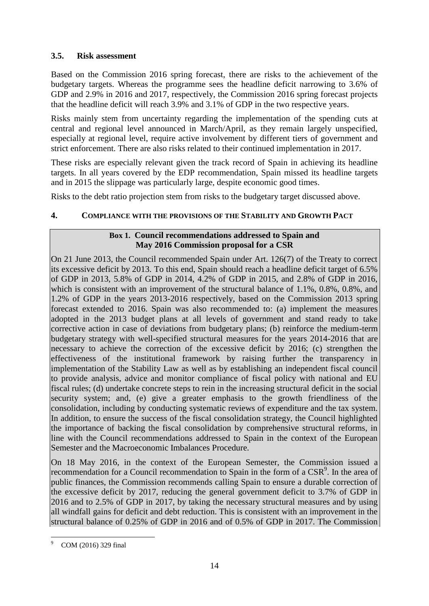# <span id="page-13-0"></span>**3.5. Risk assessment**

Based on the Commission 2016 spring forecast, there are risks to the achievement of the budgetary targets. Whereas the programme sees the headline deficit narrowing to 3.6% of GDP and 2.9% in 2016 and 2017, respectively, the Commission 2016 spring forecast projects that the headline deficit will reach 3.9% and 3.1% of GDP in the two respective years.

Risks mainly stem from uncertainty regarding the implementation of the spending cuts at central and regional level announced in March/April, as they remain largely unspecified, especially at regional level, require active involvement by different tiers of government and strict enforcement. There are also risks related to their continued implementation in 2017.

These risks are especially relevant given the track record of Spain in achieving its headline targets. In all years covered by the EDP recommendation, Spain missed its headline targets and in 2015 the slippage was particularly large, despite economic good times.

Risks to the debt ratio projection stem from risks to the budgetary target discussed above.

# <span id="page-13-1"></span>**4. COMPLIANCE WITH THE PROVISIONS OF THE STABILITY AND GROWTH PACT**

#### **Box 1. Council recommendations addressed to Spain and May 2016 Commission proposal for a CSR**

On 21 June 2013, the Council recommended Spain under Art. 126(7) of the Treaty to correct its excessive deficit by 2013. To this end, Spain should reach a headline deficit target of 6.5% of GDP in 2013, 5.8% of GDP in 2014, 4.2% of GDP in 2015, and 2.8% of GDP in 2016, which is consistent with an improvement of the structural balance of 1.1%, 0.8%, 0.8%, and 1.2% of GDP in the years 2013-2016 respectively, based on the Commission 2013 spring forecast extended to 2016. Spain was also recommended to: (a) implement the measures adopted in the 2013 budget plans at all levels of government and stand ready to take corrective action in case of deviations from budgetary plans; (b) reinforce the medium-term budgetary strategy with well-specified structural measures for the years 2014-2016 that are necessary to achieve the correction of the excessive deficit by 2016; (c) strengthen the effectiveness of the institutional framework by raising further the transparency in implementation of the Stability Law as well as by establishing an independent fiscal council to provide analysis, advice and monitor compliance of fiscal policy with national and EU fiscal rules; (d) undertake concrete steps to rein in the increasing structural deficit in the social security system; and, (e) give a greater emphasis to the growth friendliness of the consolidation, including by conducting systematic reviews of expenditure and the tax system. In addition, to ensure the success of the fiscal consolidation strategy, the Council highlighted the importance of backing the fiscal consolidation by comprehensive structural reforms, in line with the Council recommendations addressed to Spain in the context of the European Semester and the Macroeconomic Imbalances Procedure.

On 18 May 2016, in the context of the European Semester, the Commission issued a recommendation for a Council recommendation to Spain in the form of a CSR<sup>9</sup>. In the area of public finances, the Commission recommends calling Spain to ensure a durable correction of the excessive deficit by 2017, reducing the general government deficit to 3.7% of GDP in 2016 and to 2.5% of GDP in 2017, by taking the necessary structural measures and by using all windfall gains for deficit and debt reduction. This is consistent with an improvement in the structural balance of 0.25% of GDP in 2016 and of 0.5% of GDP in 2017. The Commission

<u>.</u>

COM (2016) 329 final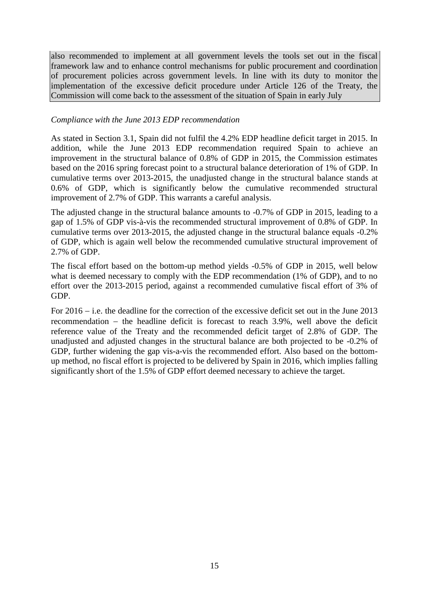also recommended to implement at all government levels the tools set out in the fiscal framework law and to enhance control mechanisms for public procurement and coordination of procurement policies across government levels. In line with its duty to monitor the implementation of the excessive deficit procedure under Article 126 of the Treaty, the Commission will come back to the assessment of the situation of Spain in early July

#### *Compliance with the June 2013 EDP recommendation*

As stated in Section 3.1, Spain did not fulfil the 4.2% EDP headline deficit target in 2015. In addition, while the June 2013 EDP recommendation required Spain to achieve an improvement in the structural balance of 0.8% of GDP in 2015, the Commission estimates based on the 2016 spring forecast point to a structural balance deterioration of 1% of GDP. In cumulative terms over 2013-2015, the unadjusted change in the structural balance stands at 0.6% of GDP, which is significantly below the cumulative recommended structural improvement of 2.7% of GDP. This warrants a careful analysis.

The adjusted change in the structural balance amounts to -0.7% of GDP in 2015, leading to a gap of 1.5% of GDP vis-à-vis the recommended structural improvement of 0.8% of GDP. In cumulative terms over 2013-2015, the adjusted change in the structural balance equals -0.2% of GDP, which is again well below the recommended cumulative structural improvement of 2.7% of GDP.

The fiscal effort based on the bottom-up method yields -0.5% of GDP in 2015, well below what is deemed necessary to comply with the EDP recommendation (1% of GDP), and to no effort over the 2013-2015 period, against a recommended cumulative fiscal effort of 3% of GDP.

For  $2016 - i.e.$  the deadline for the correction of the excessive deficit set out in the June 2013 recommendation  $-$  the headline deficit is forecast to reach 3.9%, well above the deficit reference value of the Treaty and the recommended deficit target of 2.8% of GDP. The unadjusted and adjusted changes in the structural balance are both projected to be -0.2% of GDP, further widening the gap vis-a-vis the recommended effort. Also based on the bottomup method, no fiscal effort is projected to be delivered by Spain in 2016, which implies falling significantly short of the 1.5% of GDP effort deemed necessary to achieve the target.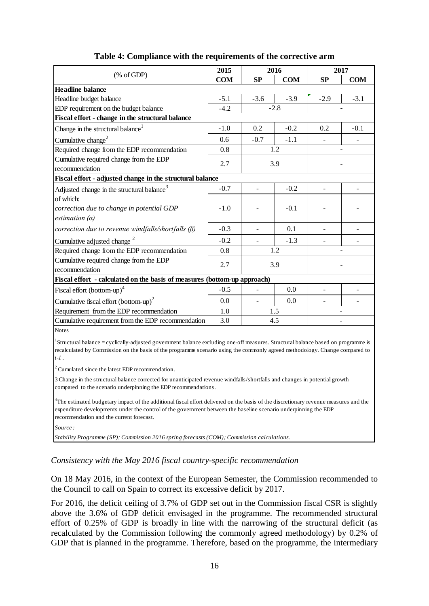|                                                                                                                                                                                                                                                                                                                 | 2015       |                          | 2016       |                          | 2017       |
|-----------------------------------------------------------------------------------------------------------------------------------------------------------------------------------------------------------------------------------------------------------------------------------------------------------------|------------|--------------------------|------------|--------------------------|------------|
| $(% \mathcal{L}_{0} \cap \mathcal{L}_{1})$ (% of GDP)                                                                                                                                                                                                                                                           | <b>COM</b> | SP                       | <b>COM</b> | SP                       | <b>COM</b> |
| <b>Headline balance</b>                                                                                                                                                                                                                                                                                         |            |                          |            |                          |            |
| Headline budget balance                                                                                                                                                                                                                                                                                         | $-5.1$     | $-3.6$                   | $-3.9$     | $-2.9$                   | $-3.1$     |
| EDP requirement on the budget balance                                                                                                                                                                                                                                                                           | $-4.2$     |                          | $-2.8$     |                          |            |
| Fiscal effort - change in the structural balance                                                                                                                                                                                                                                                                |            |                          |            |                          |            |
| Change in the structural balance <sup>1</sup>                                                                                                                                                                                                                                                                   | $-1.0$     | 0.2                      | $-0.2$     | 0.2                      | $-0.1$     |
| Cumulative change <sup>2</sup>                                                                                                                                                                                                                                                                                  | 0.6        | $-0.7$                   | $-1.1$     |                          |            |
| Required change from the EDP recommendation                                                                                                                                                                                                                                                                     | 0.8        |                          | 1.2        |                          |            |
| Cumulative required change from the EDP                                                                                                                                                                                                                                                                         | 2.7        |                          | 3.9        |                          |            |
| recommendation                                                                                                                                                                                                                                                                                                  |            |                          |            |                          |            |
| Fiscal effort - adjusted change in the structural balance                                                                                                                                                                                                                                                       |            |                          |            |                          |            |
| Adjusted change in the structural balance $3$                                                                                                                                                                                                                                                                   | $-0.7$     |                          | $-0.2$     |                          |            |
| of which:                                                                                                                                                                                                                                                                                                       |            |                          |            |                          |            |
| correction due to change in potential GDP                                                                                                                                                                                                                                                                       | $-1.0$     |                          | $-0.1$     |                          |            |
| estimation $(a)$                                                                                                                                                                                                                                                                                                |            |                          |            |                          |            |
| correction due to revenue windfalls/shortfalls $(\beta)$                                                                                                                                                                                                                                                        | $-0.3$     | $\overline{\phantom{a}}$ | 0.1        | $\overline{\phantom{a}}$ |            |
| Cumulative adjusted change <sup>2</sup>                                                                                                                                                                                                                                                                         | $-0.2$     |                          | $-1.3$     |                          |            |
| Required change from the EDP recommendation                                                                                                                                                                                                                                                                     | 0.8        |                          | 1.2        |                          |            |
| Cumulative required change from the EDP                                                                                                                                                                                                                                                                         | 2.7        | 3.9                      |            |                          |            |
| recommendation                                                                                                                                                                                                                                                                                                  |            |                          |            |                          |            |
| Fiscal effort - calculated on the basis of measures (bottom-up approach)                                                                                                                                                                                                                                        |            |                          |            |                          |            |
| Fiscal effort (bottom-up) <sup>4</sup>                                                                                                                                                                                                                                                                          | $-0.5$     |                          | 0.0        |                          |            |
| Cumulative fiscal effort (bottom-up) <sup>2</sup>                                                                                                                                                                                                                                                               | 0.0        | $\overline{\phantom{a}}$ | 0.0        | $\overline{a}$           |            |
| Requirement from the EDP recommendation                                                                                                                                                                                                                                                                         | $1.0\,$    |                          | 1.5        |                          |            |
| Cumulative requirement from the EDP recommendation                                                                                                                                                                                                                                                              | 3.0        |                          | 4.5        |                          |            |
| <b>Notes</b>                                                                                                                                                                                                                                                                                                    |            |                          |            |                          |            |
| <sup>1</sup> Structural balance = cyclically-adjusted government balance excluding one-off measures. Structural balance based on programme is<br>recalculated by Commission on the basis of the programme scenario using the commonly agreed methodology. Change compared to<br>$t-1$ .                         |            |                          |            |                          |            |
| $2$ Cumulated since the latest EDP recommendation.                                                                                                                                                                                                                                                              |            |                          |            |                          |            |
| 3 Change in the structural balance corrected for unanticipated revenue windfalls/shortfalls and changes in potential growth<br>compared to the scenario underpinning the EDP recommendations.                                                                                                                   |            |                          |            |                          |            |
| <sup>4</sup> The estimated budgetary impact of the additional fiscal effort delivered on the basis of the discretionary revenue measures and the<br>expenditure developments under the control of the government between the baseline scenario underpinning the EDP<br>recommendation and the current forecast. |            |                          |            |                          |            |

# **Table 4: Compliance with the requirements of the corrective arm**

*Source :*

*Stability Programme (SP); Commission 2016 spring forecasts (COM); Commission calculations.*

# *Consistency with the May 2016 fiscal country-specific recommendation*

On 18 May 2016, in the context of the European Semester, the Commission recommended to the Council to call on Spain to correct its excessive deficit by 2017.

For 2016, the deficit ceiling of 3.7% of GDP set out in the Commission fiscal CSR is slightly above the 3.6% of GDP deficit envisaged in the programme. The recommended structural effort of 0.25% of GDP is broadly in line with the narrowing of the structural deficit (as recalculated by the Commission following the commonly agreed methodology) by 0.2% of GDP that is planned in the programme. Therefore, based on the programme, the intermediary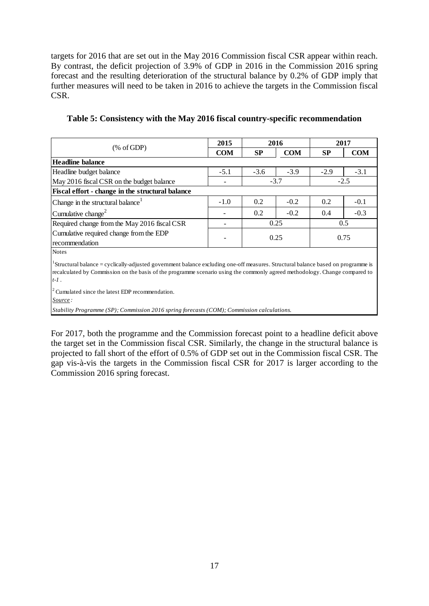targets for 2016 that are set out in the May 2016 Commission fiscal CSR appear within reach. By contrast, the deficit projection of 3.9% of GDP in 2016 in the Commission 2016 spring forecast and the resulting deterioration of the structural balance by 0.2% of GDP imply that further measures will need to be taken in 2016 to achieve the targets in the Commission fiscal CSR.

**Table 5: Consistency with the May 2016 fiscal country-specific recommendation** 

|                                                           | 2015       |        | 2016       | 2017      |            |  |
|-----------------------------------------------------------|------------|--------|------------|-----------|------------|--|
| $(\% \text{ of GDP})$                                     | <b>COM</b> | SP     | <b>COM</b> | <b>SP</b> | <b>COM</b> |  |
| <b>Headline balance</b>                                   |            |        |            |           |            |  |
| Headline budget balance                                   | $-5.1$     | $-3.6$ | $-3.9$     | $-2.9$    | $-3.1$     |  |
| May 2016 fiscal CSR on the budget balance                 |            |        | $-3.7$     |           | $-2.5$     |  |
| Fiscal effort - change in the structural balance          |            |        |            |           |            |  |
| Change in the structural balance <sup>1</sup>             | $-1.0$     | 0.2    | $-0.2$     | 0.2       | $-0.1$     |  |
| Cumulative change <sup>2</sup>                            |            | 0.2    | $-0.2$     | 0.4       | $-0.3$     |  |
| Required change from the May 2016 fiscal CSR              |            |        | 0.25       |           | 0.5        |  |
| Cumulative required change from the EDP<br>recommendation |            | 0.25   |            | 0.75      |            |  |
| <b>Notes</b>                                              |            |        |            |           |            |  |

 $1$ Structural balance = cyclically-adjusted government balance excluding one-off measures. Structural balance based on programme is recalculated by Commission on the basis of the programme scenario using the commonly agreed methodology. Change compared to t-1.<br><sup>2</sup> Cumulated since the latest EDP recommendation. *t-1* .

*Source :*

*Stability Programme (SP); Commission 2016 spring forecasts (COM); Commission calculations.*

For 2017, both the programme and the Commission forecast point to a headline deficit above the target set in the Commission fiscal CSR. Similarly, the change in the structural balance is projected to fall short of the effort of 0.5% of GDP set out in the Commission fiscal CSR. The gap vis-à-vis the targets in the Commission fiscal CSR for 2017 is larger according to the Commission 2016 spring forecast.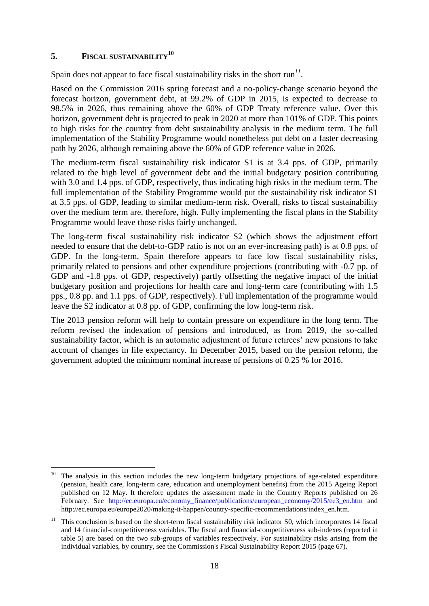# <span id="page-17-0"></span>**5. FISCAL SUSTAINABILITY<sup>10</sup>**

Spain does not appear to face fiscal sustainability risks in the short  $\text{run}^{11}$ .

Based on the Commission 2016 spring forecast and a no-policy-change scenario beyond the forecast horizon, government debt, at 99.2% of GDP in 2015, is expected to decrease to 98.5% in 2026, thus remaining above the 60% of GDP Treaty reference value. Over this horizon, government debt is projected to peak in 2020 at more than 101% of GDP. This points to high risks for the country from debt sustainability analysis in the medium term. The full implementation of the Stability Programme would nonetheless put debt on a faster decreasing path by 2026, although remaining above the 60% of GDP reference value in 2026.

The medium-term fiscal sustainability risk indicator S1 is at 3.4 pps. of GDP, primarily related to the high level of government debt and the initial budgetary position contributing with 3.0 and 1.4 pps. of GDP, respectively, thus indicating high risks in the medium term. The full implementation of the Stability Programme would put the sustainability risk indicator S1 at 3.5 pps. of GDP, leading to similar medium-term risk. Overall, risks to fiscal sustainability over the medium term are, therefore, high. Fully implementing the fiscal plans in the Stability Programme would leave those risks fairly unchanged.

The long-term fiscal sustainability risk indicator S2 (which shows the adjustment effort needed to ensure that the debt-to-GDP ratio is not on an ever-increasing path) is at 0.8 pps. of GDP. In the long-term, Spain therefore appears to face low fiscal sustainability risks, primarily related to pensions and other expenditure projections (contributing with -0.7 pp. of GDP and  $-1.8$  pps. of GDP, respectively) partly offsetting the negative impact of the initial budgetary position and projections for health care and long-term care (contributing with 1.5 pps., 0.8 pp. and 1.1 pps. of GDP, respectively). Full implementation of the programme would leave the S2 indicator at 0.8 pp. of GDP, confirming the low long-term risk.

The 2013 pension reform will help to contain pressure on expenditure in the long term. The reform revised the indexation of pensions and introduced, as from 2019, the so-called sustainability factor, which is an automatic adjustment of future retirees' new pensions to take account of changes in life expectancy. In December 2015, based on the pension reform, the government adopted the minimum nominal increase of pensions of 0.25 % for 2016.

 $10$ The analysis in this section includes the new long-term budgetary projections of age-related expenditure (pension, health care, long-term care, education and unemployment benefits) from the 2015 Ageing Report published on 12 May. It therefore updates the assessment made in the Country Reports published on 26 February. See [http://ec.europa.eu/economy\\_finance/publications/european\\_economy/2015/ee3\\_en.htm](http://ec.europa.eu/economy_finance/publications/european_economy/2015/ee3_en.htm) and http://ec.europa.eu/europe2020/making-it-happen/country-specific-recommendations/index\_en.htm.

<sup>11</sup> This conclusion is based on the short-term fiscal sustainability risk indicator S0, which incorporates 14 fiscal and 14 financial-competitiveness variables. The fiscal and financial-competitiveness sub-indexes (reported in table 5) are based on the two sub-groups of variables respectively. For sustainability risks arising from the individual variables, by country, see the Commission's Fiscal Sustainability Report 2015 (page 67).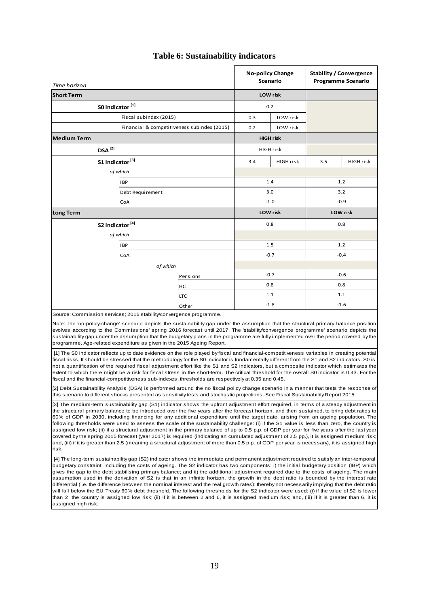| Time horizon                                                                                                                                                                                                                                                                                                                                                                                                                                                                                                                                                                                                                                                                                                                                                                                                                                                                                                                                                                                                                                                                                                                                                                                                                                                                                                                                                                                                                                                                                                                                                                                                                                                                                                                                                                                                                                                                                                                                                                                                                                                                         |                                             |          |                 | <b>No-policy Change</b><br>Scenario | <b>Stability / Convergence</b><br><b>Programme Scenario</b> |                 |
|--------------------------------------------------------------------------------------------------------------------------------------------------------------------------------------------------------------------------------------------------------------------------------------------------------------------------------------------------------------------------------------------------------------------------------------------------------------------------------------------------------------------------------------------------------------------------------------------------------------------------------------------------------------------------------------------------------------------------------------------------------------------------------------------------------------------------------------------------------------------------------------------------------------------------------------------------------------------------------------------------------------------------------------------------------------------------------------------------------------------------------------------------------------------------------------------------------------------------------------------------------------------------------------------------------------------------------------------------------------------------------------------------------------------------------------------------------------------------------------------------------------------------------------------------------------------------------------------------------------------------------------------------------------------------------------------------------------------------------------------------------------------------------------------------------------------------------------------------------------------------------------------------------------------------------------------------------------------------------------------------------------------------------------------------------------------------------------|---------------------------------------------|----------|-----------------|-------------------------------------|-------------------------------------------------------------|-----------------|
| <b>Short Term</b>                                                                                                                                                                                                                                                                                                                                                                                                                                                                                                                                                                                                                                                                                                                                                                                                                                                                                                                                                                                                                                                                                                                                                                                                                                                                                                                                                                                                                                                                                                                                                                                                                                                                                                                                                                                                                                                                                                                                                                                                                                                                    |                                             |          | <b>LOW</b> risk |                                     |                                                             |                 |
| S0 indicator <sup>[1]</sup>                                                                                                                                                                                                                                                                                                                                                                                                                                                                                                                                                                                                                                                                                                                                                                                                                                                                                                                                                                                                                                                                                                                                                                                                                                                                                                                                                                                                                                                                                                                                                                                                                                                                                                                                                                                                                                                                                                                                                                                                                                                          |                                             |          |                 | 0.2                                 |                                                             |                 |
|                                                                                                                                                                                                                                                                                                                                                                                                                                                                                                                                                                                                                                                                                                                                                                                                                                                                                                                                                                                                                                                                                                                                                                                                                                                                                                                                                                                                                                                                                                                                                                                                                                                                                                                                                                                                                                                                                                                                                                                                                                                                                      | Fiscal subindex (2015)                      |          | 0.3             | LOW risk                            |                                                             |                 |
|                                                                                                                                                                                                                                                                                                                                                                                                                                                                                                                                                                                                                                                                                                                                                                                                                                                                                                                                                                                                                                                                                                                                                                                                                                                                                                                                                                                                                                                                                                                                                                                                                                                                                                                                                                                                                                                                                                                                                                                                                                                                                      | Financial & competitiveness subindex (2015) |          | 0.2             | LOW risk                            |                                                             |                 |
| <b>Medium Term</b>                                                                                                                                                                                                                                                                                                                                                                                                                                                                                                                                                                                                                                                                                                                                                                                                                                                                                                                                                                                                                                                                                                                                                                                                                                                                                                                                                                                                                                                                                                                                                                                                                                                                                                                                                                                                                                                                                                                                                                                                                                                                   |                                             |          |                 | <b>HIGH risk</b>                    |                                                             |                 |
| $DSA^{[2]}$                                                                                                                                                                                                                                                                                                                                                                                                                                                                                                                                                                                                                                                                                                                                                                                                                                                                                                                                                                                                                                                                                                                                                                                                                                                                                                                                                                                                                                                                                                                                                                                                                                                                                                                                                                                                                                                                                                                                                                                                                                                                          |                                             |          |                 | HIGH risk                           |                                                             |                 |
| S1 indicator <sup>[3]</sup>                                                                                                                                                                                                                                                                                                                                                                                                                                                                                                                                                                                                                                                                                                                                                                                                                                                                                                                                                                                                                                                                                                                                                                                                                                                                                                                                                                                                                                                                                                                                                                                                                                                                                                                                                                                                                                                                                                                                                                                                                                                          |                                             |          | 3.4             | <b>HIGH risk</b>                    | 3.5                                                         | HIGH risk       |
|                                                                                                                                                                                                                                                                                                                                                                                                                                                                                                                                                                                                                                                                                                                                                                                                                                                                                                                                                                                                                                                                                                                                                                                                                                                                                                                                                                                                                                                                                                                                                                                                                                                                                                                                                                                                                                                                                                                                                                                                                                                                                      | of which                                    |          |                 |                                     |                                                             |                 |
|                                                                                                                                                                                                                                                                                                                                                                                                                                                                                                                                                                                                                                                                                                                                                                                                                                                                                                                                                                                                                                                                                                                                                                                                                                                                                                                                                                                                                                                                                                                                                                                                                                                                                                                                                                                                                                                                                                                                                                                                                                                                                      | IBP                                         |          |                 | 1.4                                 | 1.2                                                         |                 |
|                                                                                                                                                                                                                                                                                                                                                                                                                                                                                                                                                                                                                                                                                                                                                                                                                                                                                                                                                                                                                                                                                                                                                                                                                                                                                                                                                                                                                                                                                                                                                                                                                                                                                                                                                                                                                                                                                                                                                                                                                                                                                      | Debt Requirement                            |          |                 | 3.0                                 | 3.2                                                         |                 |
|                                                                                                                                                                                                                                                                                                                                                                                                                                                                                                                                                                                                                                                                                                                                                                                                                                                                                                                                                                                                                                                                                                                                                                                                                                                                                                                                                                                                                                                                                                                                                                                                                                                                                                                                                                                                                                                                                                                                                                                                                                                                                      | CoA                                         |          |                 | $-1.0$                              | $-0.9$                                                      |                 |
| <b>Long Term</b>                                                                                                                                                                                                                                                                                                                                                                                                                                                                                                                                                                                                                                                                                                                                                                                                                                                                                                                                                                                                                                                                                                                                                                                                                                                                                                                                                                                                                                                                                                                                                                                                                                                                                                                                                                                                                                                                                                                                                                                                                                                                     |                                             |          |                 | <b>LOW</b> risk                     |                                                             | <b>LOW</b> risk |
| S2 indicator <sup>[4]</sup>                                                                                                                                                                                                                                                                                                                                                                                                                                                                                                                                                                                                                                                                                                                                                                                                                                                                                                                                                                                                                                                                                                                                                                                                                                                                                                                                                                                                                                                                                                                                                                                                                                                                                                                                                                                                                                                                                                                                                                                                                                                          |                                             |          |                 | 0.8                                 | 0.8                                                         |                 |
|                                                                                                                                                                                                                                                                                                                                                                                                                                                                                                                                                                                                                                                                                                                                                                                                                                                                                                                                                                                                                                                                                                                                                                                                                                                                                                                                                                                                                                                                                                                                                                                                                                                                                                                                                                                                                                                                                                                                                                                                                                                                                      | of which                                    |          |                 |                                     |                                                             |                 |
|                                                                                                                                                                                                                                                                                                                                                                                                                                                                                                                                                                                                                                                                                                                                                                                                                                                                                                                                                                                                                                                                                                                                                                                                                                                                                                                                                                                                                                                                                                                                                                                                                                                                                                                                                                                                                                                                                                                                                                                                                                                                                      | <b>IBP</b>                                  |          | 1.5             |                                     | 1.2                                                         |                 |
|                                                                                                                                                                                                                                                                                                                                                                                                                                                                                                                                                                                                                                                                                                                                                                                                                                                                                                                                                                                                                                                                                                                                                                                                                                                                                                                                                                                                                                                                                                                                                                                                                                                                                                                                                                                                                                                                                                                                                                                                                                                                                      | CoA                                         |          | $-0.7$          |                                     | $-0.4$                                                      |                 |
|                                                                                                                                                                                                                                                                                                                                                                                                                                                                                                                                                                                                                                                                                                                                                                                                                                                                                                                                                                                                                                                                                                                                                                                                                                                                                                                                                                                                                                                                                                                                                                                                                                                                                                                                                                                                                                                                                                                                                                                                                                                                                      | of which                                    |          |                 |                                     |                                                             |                 |
|                                                                                                                                                                                                                                                                                                                                                                                                                                                                                                                                                                                                                                                                                                                                                                                                                                                                                                                                                                                                                                                                                                                                                                                                                                                                                                                                                                                                                                                                                                                                                                                                                                                                                                                                                                                                                                                                                                                                                                                                                                                                                      |                                             | Pensions |                 | $-0.7$                              | $-0.6$                                                      |                 |
|                                                                                                                                                                                                                                                                                                                                                                                                                                                                                                                                                                                                                                                                                                                                                                                                                                                                                                                                                                                                                                                                                                                                                                                                                                                                                                                                                                                                                                                                                                                                                                                                                                                                                                                                                                                                                                                                                                                                                                                                                                                                                      |                                             | нc       |                 | 0.8                                 |                                                             | 0.8             |
|                                                                                                                                                                                                                                                                                                                                                                                                                                                                                                                                                                                                                                                                                                                                                                                                                                                                                                                                                                                                                                                                                                                                                                                                                                                                                                                                                                                                                                                                                                                                                                                                                                                                                                                                                                                                                                                                                                                                                                                                                                                                                      |                                             | LTC      |                 | 1.1                                 | 1.1                                                         |                 |
|                                                                                                                                                                                                                                                                                                                                                                                                                                                                                                                                                                                                                                                                                                                                                                                                                                                                                                                                                                                                                                                                                                                                                                                                                                                                                                                                                                                                                                                                                                                                                                                                                                                                                                                                                                                                                                                                                                                                                                                                                                                                                      |                                             | Other    |                 | $-1.8$                              | $-1.6$                                                      |                 |
| Source: Commission services; 2016 stability/convergence programme.<br>Note: the 'no-policy-change' scenario depicts the sustainability gap under the assumption that the structural primary balance position<br>evolves according to the Commissions' spring 2016 forecast until 2017. The 'stability/convergence programme' scenario depicts the<br>sustainability gap under the assumption that the budgetary plans in the programme are fully implemented over the period covered by the<br>programme. Age-related expenditure as given in the 2015 Ageing Report.                                                                                                                                                                                                                                                                                                                                                                                                                                                                                                                                                                                                                                                                                                                                                                                                                                                                                                                                                                                                                                                                                                                                                                                                                                                                                                                                                                                                                                                                                                                |                                             |          |                 |                                     |                                                             |                 |
| [1] The S0 indicator reflects up to date evidence on the role played by fiscal and financial-competitiveness variables in creating potential<br>fiscal risks. It should be stressed that the methodology for the S0 indicator is fundamentally different from the S1 and S2 indicators. S0 is<br>not a quantification of the required fiscal adjustment effort like the S1 and S2 indicators, but a composite indicator which estimates the<br>extent to which there might be a risk for fiscal stress in the short-term. The critical threshold for the overall S0 indicator is 0.43. For the<br>fiscal and the financial-competitiveness sub-indexes, thresholds are respectively at 0.35 and 0.45.<br>[2] Debt Sustainability Analysis (DSA) is performed around the no fiscal policy change scenario in a manner that tests the response of                                                                                                                                                                                                                                                                                                                                                                                                                                                                                                                                                                                                                                                                                                                                                                                                                                                                                                                                                                                                                                                                                                                                                                                                                                      |                                             |          |                 |                                     |                                                             |                 |
| this scenario to different shocks presented as sensitivity tests and stochastic projections. See Fiscal Sustainability Report 2015.                                                                                                                                                                                                                                                                                                                                                                                                                                                                                                                                                                                                                                                                                                                                                                                                                                                                                                                                                                                                                                                                                                                                                                                                                                                                                                                                                                                                                                                                                                                                                                                                                                                                                                                                                                                                                                                                                                                                                  |                                             |          |                 |                                     |                                                             |                 |
| [3] The medium-term sustainability gap (S1) indicator shows the upfront adjustment effort required, in terms of a steady adjustment in<br>the structural primary balance to be introduced over the five years after the forecast horizon, and then sustained, to bring debt ratios to<br>60% of GDP in 2030, including financing for any additional expenditure until the target date, arising from an ageing population. The<br>following thresholds were used to assess the scale of the sustainability challenge: (i) if the S1 value is less than zero, the country is<br>assigned low risk; (ii) if a structural adjustment in the primary balance of up to 0.5 p.p. of GDP per year for five years after the last year<br>covered by the spring 2015 forecast (year 2017) is required (indicating an cumulated adjustment of 2.5 pp.), it is assigned medium risk;<br>and, (iii) if it is greater than 2.5 (meaning a structural adjustment of more than 0.5 p.p. of GDP per year is necessary), it is assigned high<br>risk.<br>[4] The long-term sustainability gap (S2) indicator shows the immediate and permanent adjustment required to satisfy an inter-temporal<br>budgetary constraint, including the costs of ageing. The S2 indicator has two components: i) the initial budgetary position (IBP) which<br>gives the gap to the debt stabilising primary balance; and ii) the additional adjustment required due to the costs of ageing. The main<br>assumption used in the derivation of S2 is that in an infinite horizon, the growth in the debt ratio is bounded by the interest rate<br>differential (i.e. the difference between the nominal interest and the real growth rates); thereby not necessarily implying that the debt ratio<br>will fall below the EU Treaty 60% debt threshold. The following thresholds for the S2 indicator were used: (i) if the value of S2 is lower<br>than 2, the country is assigned low risk; (ii) if it is between 2 and 6, it is assigned medium risk; and, (iii) if it is greater than 6, it is<br>assigned high risk. |                                             |          |                 |                                     |                                                             |                 |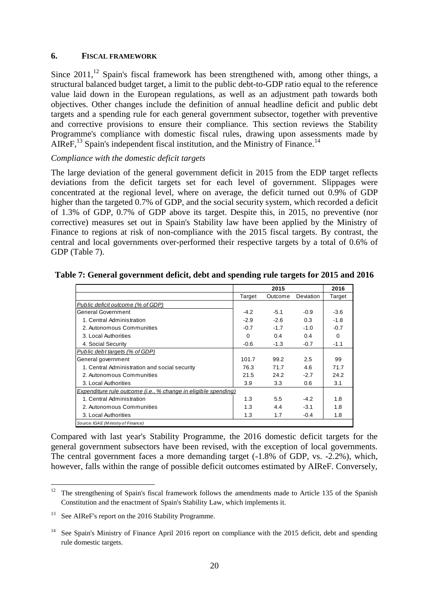#### <span id="page-19-0"></span>**6. FISCAL FRAMEWORK**

Since  $2011$ ,<sup>12</sup> Spain's fiscal framework has been strengthened with, among other things, a structural balanced budget target, a limit to the public debt-to-GDP ratio equal to the reference value laid down in the European regulations, as well as an adjustment path towards both objectives. Other changes include the definition of annual headline deficit and public debt targets and a spending rule for each general government subsector, together with preventive and corrective provisions to ensure their compliance. This section reviews the Stability Programme's compliance with domestic fiscal rules, drawing upon assessments made by AIReF, $^{13}$  Spain's independent fiscal institution, and the Ministry of Finance.<sup>14</sup>

# *Compliance with the domestic deficit targets*

The large deviation of the general government deficit in 2015 from the EDP target reflects deviations from the deficit targets set for each level of government. Slippages were concentrated at the regional level, where on average, the deficit turned out 0.9% of GDP higher than the targeted 0.7% of GDP, and the social security system, which recorded a deficit of 1.3% of GDP, 0.7% of GDP above its target. Despite this, in 2015, no preventive (nor corrective) measures set out in Spain's Stability law have been applied by the Ministry of Finance to regions at risk of non-compliance with the 2015 fiscal targets. By contrast, the central and local governments over-performed their respective targets by a total of 0.6% of GDP (Table 7).

|                                                                |        | 2015    |           | 2016     |
|----------------------------------------------------------------|--------|---------|-----------|----------|
|                                                                | Target | Outcome | Deviation | Target   |
| Public deficit outcome (% of GDP)                              |        |         |           |          |
| General Government                                             | $-4.2$ | $-5.1$  | $-0.9$    | $-3.6$   |
| 1. Central Administration                                      | $-2.9$ | $-2.6$  | 0.3       | $-1.8$   |
| 2. Autonomous Communities                                      | $-0.7$ | $-1.7$  | $-1.0$    | $-0.7$   |
| 3. Local Authorities                                           | 0      | 0.4     | 0.4       | $\Omega$ |
| 4. Social Security                                             | $-0.6$ | $-1.3$  | $-0.7$    | $-1.1$   |
| Public debt targets (% of GDP)                                 |        |         |           |          |
| General government                                             | 101.7  | 99.2    | 2.5       | 99       |
| 1. Central Administration and social security                  | 76.3   | 71.7    | 4.6       | 71.7     |
| 2. Autonomous Communities                                      | 21.5   | 24.2    | $-2.7$    | 24.2     |
| 3. Local Authorities                                           | 3.9    | 3.3     | 0.6       | 3.1      |
| Expenditure rule outcome (i.e., % change in eligible spending) |        |         |           |          |
| 1. Central Administration                                      | 1.3    | 5.5     | $-4.2$    | 1.8      |
| 2. Autonomous Communities                                      | 1.3    | 4.4     | $-3.1$    | 1.8      |
| 3. Local Authorities                                           | 1.3    | 1.7     | $-0.4$    | 1.8      |
| Source: IGAE (Ministry of Finance)                             |        |         |           |          |

#### **Table 7: General government deficit, debt and spending rule targets for 2015 and 2016**

Compared with last year's Stability Programme, the 2016 domestic deficit targets for the general government subsectors have been revised, with the exception of local governments. The central government faces a more demanding target (-1.8% of GDP, vs. -2.2%), which, however, falls within the range of possible deficit outcomes estimated by AIReF. Conversely,

1

 $12$  The strengthening of Spain's fiscal framework follows the amendments made to Article 135 of the Spanish Constitution and the enactment of Spain's Stability Law, which implements it.

<sup>&</sup>lt;sup>13</sup> See AIReF's report on the 2016 Stability Programme.

See Spain's Ministry of Finance April 2016 report on compliance with the 2015 deficit, debt and spending rule domestic targets.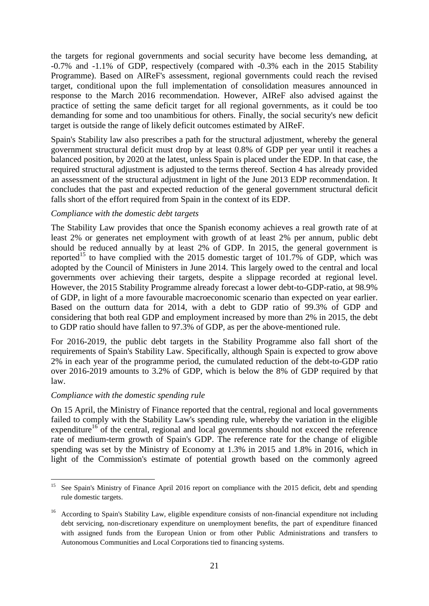the targets for regional governments and social security have become less demanding, at -0.7% and -1.1% of GDP, respectively (compared with -0.3% each in the 2015 Stability Programme). Based on AIReF's assessment, regional governments could reach the revised target, conditional upon the full implementation of consolidation measures announced in response to the March 2016 recommendation. However, AIReF also advised against the practice of setting the same deficit target for all regional governments, as it could be too demanding for some and too unambitious for others. Finally, the social security's new deficit target is outside the range of likely deficit outcomes estimated by AIReF.

Spain's Stability law also prescribes a path for the structural adjustment, whereby the general government structural deficit must drop by at least 0.8% of GDP per year until it reaches a balanced position, by 2020 at the latest, unless Spain is placed under the EDP. In that case, the required structural adjustment is adjusted to the terms thereof. Section 4 has already provided an assessment of the structural adjustment in light of the June 2013 EDP recommendation. It concludes that the past and expected reduction of the general government structural deficit falls short of the effort required from Spain in the context of its EDP.

#### *Compliance with the domestic debt targets*

The Stability Law provides that once the Spanish economy achieves a real growth rate of at least 2% or generates net employment with growth of at least 2% per annum, public debt should be reduced annually by at least 2% of GDP. In 2015, the general government is reported<sup>15</sup> to have complied with the 2015 domestic target of 101.7% of GDP, which was adopted by the Council of Ministers in June 2014. This largely owed to the central and local governments over achieving their targets, despite a slippage recorded at regional level. However, the 2015 Stability Programme already forecast a lower debt-to-GDP-ratio, at 98.9% of GDP, in light of a more favourable macroeconomic scenario than expected on year earlier. Based on the outturn data for 2014, with a debt to GDP ratio of 99.3% of GDP and considering that both real GDP and employment increased by more than 2% in 2015, the debt to GDP ratio should have fallen to 97.3% of GDP, as per the above-mentioned rule.

For 2016-2019, the public debt targets in the Stability Programme also fall short of the requirements of Spain's Stability Law. Specifically, although Spain is expected to grow above 2% in each year of the programme period, the cumulated reduction of the debt-to-GDP ratio over 2016-2019 amounts to 3.2% of GDP, which is below the 8% of GDP required by that law.

#### *Compliance with the domestic spending rule*

On 15 April, the Ministry of Finance reported that the central, regional and local governments failed to comply with the Stability Law's spending rule, whereby the variation in the eligible expenditure<sup>16</sup> of the central, regional and local governments should not exceed the reference rate of medium-term growth of Spain's GDP. The reference rate for the change of eligible spending was set by the Ministry of Economy at 1.3% in 2015 and 1.8% in 2016, which in light of the Commission's estimate of potential growth based on the commonly agreed

 $15<sub>15</sub>$ See Spain's Ministry of Finance April 2016 report on compliance with the 2015 deficit, debt and spending rule domestic targets.

<sup>&</sup>lt;sup>16</sup> According to Spain's Stability Law, eligible expenditure consists of non-financial expenditure not including debt servicing, non-discretionary expenditure on unemployment benefits, the part of expenditure financed with assigned funds from the European Union or from other Public Administrations and transfers to Autonomous Communities and Local Corporations tied to financing systems.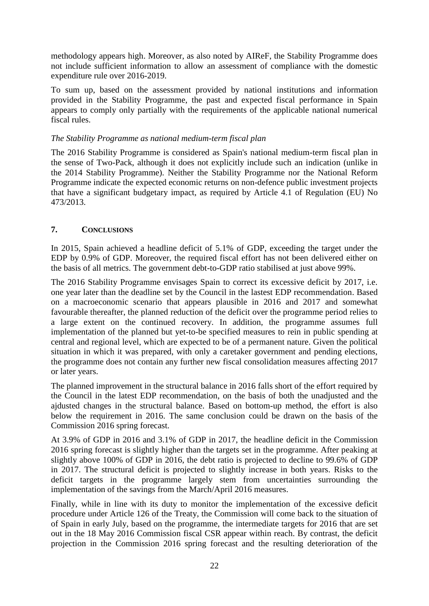methodology appears high. Moreover, as also noted by AIReF, the Stability Programme does not include sufficient information to allow an assessment of compliance with the domestic expenditure rule over 2016-2019.

To sum up, based on the assessment provided by national institutions and information provided in the Stability Programme, the past and expected fiscal performance in Spain appears to comply only partially with the requirements of the applicable national numerical fiscal rules.

#### *The Stability Programme as national medium-term fiscal plan*

The 2016 Stability Programme is considered as Spain's national medium-term fiscal plan in the sense of Two-Pack, although it does not explicitly include such an indication (unlike in the 2014 Stability Programme). Neither the Stability Programme nor the National Reform Programme indicate the expected economic returns on non-defence public investment projects that have a significant budgetary impact, as required by Article 4.1 of Regulation (EU) No 473/2013.

#### <span id="page-21-0"></span>**7. CONCLUSIONS**

In 2015, Spain achieved a headline deficit of 5.1% of GDP, exceeding the target under the EDP by 0.9% of GDP. Moreover, the required fiscal effort has not been delivered either on the basis of all metrics. The government debt-to-GDP ratio stabilised at just above 99%.

The 2016 Stability Programme envisages Spain to correct its excessive deficit by 2017, i.e. one year later than the deadline set by the Council in the lastest EDP recommendation. Based on a macroeconomic scenario that appears plausible in 2016 and 2017 and somewhat favourable thereafter, the planned reduction of the deficit over the programme period relies to a large extent on the continued recovery. In addition, the programme assumes full implementation of the planned but yet-to-be specified measures to rein in public spending at central and regional level, which are expected to be of a permanent nature. Given the political situation in which it was prepared, with only a caretaker government and pending elections, the programme does not contain any further new fiscal consolidation measures affecting 2017 or later years.

The planned improvement in the structural balance in 2016 falls short of the effort required by the Council in the latest EDP recommendation, on the basis of both the unadjusted and the ajdusted changes in the structural balance. Based on bottom-up method, the effort is also below the requirement in 2016. The same conclusion could be drawn on the basis of the Commission 2016 spring forecast.

At 3.9% of GDP in 2016 and 3.1% of GDP in 2017, the headline deficit in the Commission 2016 spring forecast is slightly higher than the targets set in the programme. After peaking at slightly above 100% of GDP in 2016, the debt ratio is projected to decline to 99.6% of GDP in 2017. The structural deficit is projected to slightly increase in both years. Risks to the deficit targets in the programme largely stem from uncertainties surrounding the implementation of the savings from the March/April 2016 measures.

Finally, while in line with its duty to monitor the implementation of the excessive deficit procedure under Article 126 of the Treaty, the Commission will come back to the situation of of Spain in early July, based on the programme, the intermediate targets for 2016 that are set out in the 18 May 2016 Commission fiscal CSR appear within reach. By contrast, the deficit projection in the Commission 2016 spring forecast and the resulting deterioration of the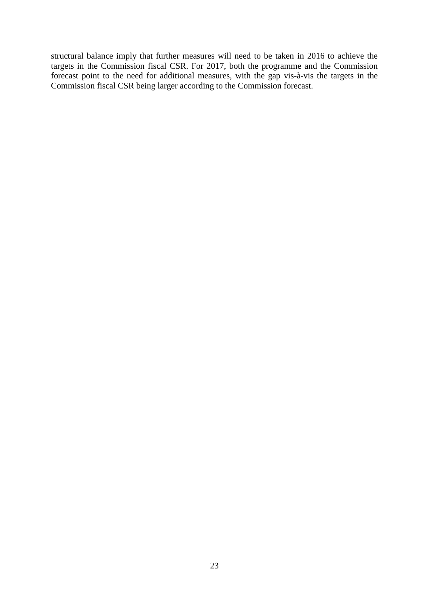structural balance imply that further measures will need to be taken in 2016 to achieve the targets in the Commission fiscal CSR. For 2017, both the programme and the Commission forecast point to the need for additional measures, with the gap vis-à-vis the targets in the Commission fiscal CSR being larger according to the Commission forecast.